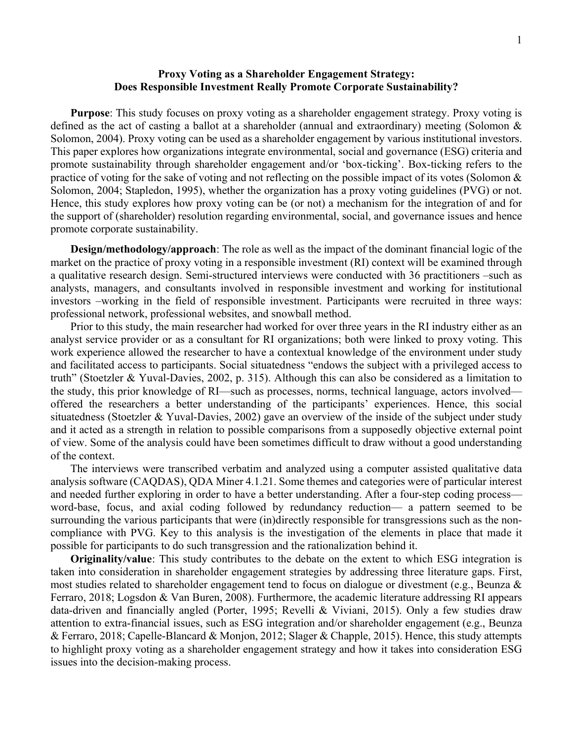## **Proxy Voting as a Shareholder Engagement Strategy: Does Responsible Investment Really Promote Corporate Sustainability?**

**Purpose**: This study focuses on proxy voting as a shareholder engagement strategy. Proxy voting is defined as the act of casting a ballot at a shareholder (annual and extraordinary) meeting (Solomon & Solomon, 2004). Proxy voting can be used as a shareholder engagement by various institutional investors. This paper explores how organizations integrate environmental, social and governance (ESG) criteria and promote sustainability through shareholder engagement and/or 'box-ticking'. Box-ticking refers to the practice of voting for the sake of voting and not reflecting on the possible impact of its votes (Solomon & Solomon, 2004; Stapledon, 1995), whether the organization has a proxy voting guidelines (PVG) or not. Hence, this study explores how proxy voting can be (or not) a mechanism for the integration of and for the support of (shareholder) resolution regarding environmental, social, and governance issues and hence promote corporate sustainability.

**Design/methodology/approach**: The role as well as the impact of the dominant financial logic of the market on the practice of proxy voting in a responsible investment (RI) context will be examined through a qualitative research design. Semi-structured interviews were conducted with 36 practitioners –such as analysts, managers, and consultants involved in responsible investment and working for institutional investors –working in the field of responsible investment. Participants were recruited in three ways: professional network, professional websites, and snowball method.

Prior to this study, the main researcher had worked for over three years in the RI industry either as an analyst service provider or as a consultant for RI organizations; both were linked to proxy voting. This work experience allowed the researcher to have a contextual knowledge of the environment under study and facilitated access to participants. Social situatedness "endows the subject with a privileged access to truth" (Stoetzler & Yuval-Davies, 2002, p. 315). Although this can also be considered as a limitation to the study, this prior knowledge of RI—such as processes, norms, technical language, actors involved offered the researchers a better understanding of the participants' experiences. Hence, this social situatedness (Stoetzler & Yuval-Davies, 2002) gave an overview of the inside of the subject under study and it acted as a strength in relation to possible comparisons from a supposedly objective external point of view. Some of the analysis could have been sometimes difficult to draw without a good understanding of the context.

The interviews were transcribed verbatim and analyzed using a computer assisted qualitative data analysis software (CAQDAS), QDA Miner 4.1.21. Some themes and categories were of particular interest and needed further exploring in order to have a better understanding. After a four-step coding process word-base, focus, and axial coding followed by redundancy reduction— a pattern seemed to be surrounding the various participants that were (in)directly responsible for transgressions such as the noncompliance with PVG. Key to this analysis is the investigation of the elements in place that made it possible for participants to do such transgression and the rationalization behind it.

**Originality/value**: This study contributes to the debate on the extent to which ESG integration is taken into consideration in shareholder engagement strategies by addressing three literature gaps. First, most studies related to shareholder engagement tend to focus on dialogue or divestment (e.g., Beunza & Ferraro, 2018; Logsdon & Van Buren, 2008). Furthermore, the academic literature addressing RI appears data-driven and financially angled (Porter, 1995; Revelli & Viviani, 2015). Only a few studies draw attention to extra-financial issues, such as ESG integration and/or shareholder engagement (e.g., Beunza & Ferraro, 2018; Capelle-Blancard & Monjon, 2012; Slager & Chapple, 2015). Hence, this study attempts to highlight proxy voting as a shareholder engagement strategy and how it takes into consideration ESG issues into the decision-making process.